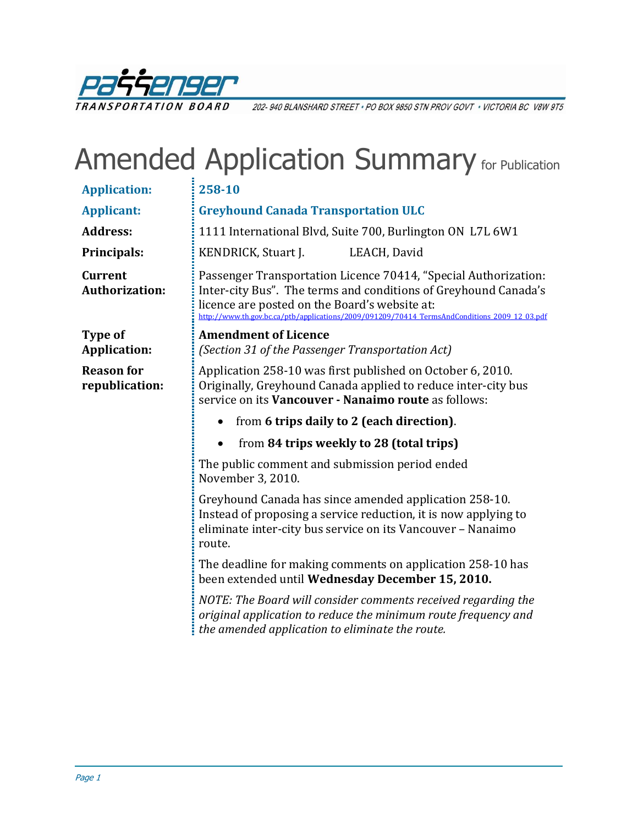

202-940 BLANSHARD STREET · PO BOX 9850 STN PROV GOVT · VICTORIA BC V8W 9T5

## Amended Application Summary for Publication

| <b>Application:</b>                 | 258-10                                                                                                                                                                                                                                                                              |  |  |
|-------------------------------------|-------------------------------------------------------------------------------------------------------------------------------------------------------------------------------------------------------------------------------------------------------------------------------------|--|--|
| <b>Applicant:</b>                   | <b>Greyhound Canada Transportation ULC</b>                                                                                                                                                                                                                                          |  |  |
| <b>Address:</b>                     | 1111 International Blvd, Suite 700, Burlington ON L7L 6W1                                                                                                                                                                                                                           |  |  |
| Principals:                         | KENDRICK, Stuart J.<br>LEACH, David                                                                                                                                                                                                                                                 |  |  |
| Current<br><b>Authorization:</b>    | Passenger Transportation Licence 70414, "Special Authorization:<br>Inter-city Bus". The terms and conditions of Greyhound Canada's<br>licence are posted on the Board's website at:<br>http://www.th.gov.bc.ca/ptb/applications/2009/091209/70414 TermsAndConditions 2009 12 03.pdf |  |  |
| Type of                             | <b>Amendment of Licence</b>                                                                                                                                                                                                                                                         |  |  |
| <b>Application:</b>                 | (Section 31 of the Passenger Transportation Act)                                                                                                                                                                                                                                    |  |  |
| <b>Reason for</b><br>republication: | Application 258-10 was first published on October 6, 2010.<br>Originally, Greyhound Canada applied to reduce inter-city bus<br>service on its Vancouver - Nanaimo route as follows:                                                                                                 |  |  |
|                                     |                                                                                                                                                                                                                                                                                     |  |  |
|                                     | from 6 trips daily to 2 (each direction).                                                                                                                                                                                                                                           |  |  |
|                                     | from 84 trips weekly to 28 (total trips)<br>$\bullet$                                                                                                                                                                                                                               |  |  |
|                                     | The public comment and submission period ended<br>November 3, 2010.                                                                                                                                                                                                                 |  |  |
|                                     | Greyhound Canada has since amended application 258-10.<br>Instead of proposing a service reduction, it is now applying to<br>eliminate inter-city bus service on its Vancouver - Nanaimo<br>route.                                                                                  |  |  |
|                                     | The deadline for making comments on application 258-10 has<br>been extended until Wednesday December 15, 2010.                                                                                                                                                                      |  |  |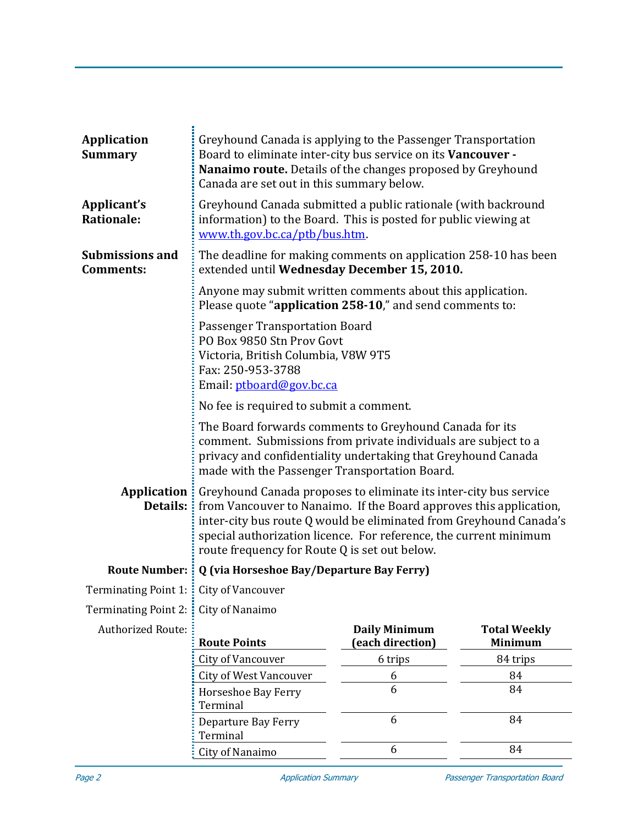| <b>Application</b><br><b>Summary</b>       | Greyhound Canada is applying to the Passenger Transportation<br>Board to eliminate inter-city bus service on its Vancouver -<br>Nanaimo route. Details of the changes proposed by Greyhound<br>Canada are set out in this summary below.                                                                                                                 |                                          |                                       |  |  |
|--------------------------------------------|----------------------------------------------------------------------------------------------------------------------------------------------------------------------------------------------------------------------------------------------------------------------------------------------------------------------------------------------------------|------------------------------------------|---------------------------------------|--|--|
| Applicant's<br><b>Rationale:</b>           | Greyhound Canada submitted a public rationale (with backround<br>information) to the Board. This is posted for public viewing at<br>www.th.gov.bc.ca/ptb/bus.htm.                                                                                                                                                                                        |                                          |                                       |  |  |
| <b>Submissions and</b><br><b>Comments:</b> | The deadline for making comments on application 258-10 has been<br>extended until Wednesday December 15, 2010.                                                                                                                                                                                                                                           |                                          |                                       |  |  |
|                                            | Anyone may submit written comments about this application.<br>Please quote "application 258-10," and send comments to:                                                                                                                                                                                                                                   |                                          |                                       |  |  |
|                                            | <b>Passenger Transportation Board</b><br>PO Box 9850 Stn Prov Govt<br>Victoria, British Columbia, V8W 9T5<br>Fax: 250-953-3788<br>Email: ptboard@gov.bc.ca                                                                                                                                                                                               |                                          |                                       |  |  |
|                                            | No fee is required to submit a comment.                                                                                                                                                                                                                                                                                                                  |                                          |                                       |  |  |
|                                            | The Board forwards comments to Greyhound Canada for its<br>comment. Submissions from private individuals are subject to a<br>privacy and confidentiality undertaking that Greyhound Canada<br>made with the Passenger Transportation Board.                                                                                                              |                                          |                                       |  |  |
| Details:                                   | <b>Application</b> : Greyhound Canada proposes to eliminate its inter-city bus service<br>from Vancouver to Nanaimo. If the Board approves this application,<br>inter-city bus route Q would be eliminated from Greyhound Canada's<br>special authorization licence. For reference, the current minimum<br>route frequency for Route Q is set out below. |                                          |                                       |  |  |
| <b>Route Number:</b>                       | Q (via Horseshoe Bay/Departure Bay Ferry)                                                                                                                                                                                                                                                                                                                |                                          |                                       |  |  |
| Terminating Point 1: : City of Vancouver   |                                                                                                                                                                                                                                                                                                                                                          |                                          |                                       |  |  |
| <b>Terminating Point 2:</b>                | City of Nanaimo                                                                                                                                                                                                                                                                                                                                          |                                          |                                       |  |  |
| <b>Authorized Route:</b>                   | <b>Route Points</b>                                                                                                                                                                                                                                                                                                                                      | <b>Daily Minimum</b><br>(each direction) | <b>Total Weekly</b><br><b>Minimum</b> |  |  |
|                                            | City of Vancouver                                                                                                                                                                                                                                                                                                                                        | 6 trips                                  | 84 trips                              |  |  |
|                                            | <b>City of West Vancouver</b>                                                                                                                                                                                                                                                                                                                            | 6                                        | 84                                    |  |  |
|                                            | Horseshoe Bay Ferry<br>Terminal                                                                                                                                                                                                                                                                                                                          | 6                                        | 84                                    |  |  |
|                                            | Departure Bay Ferry<br>Terminal                                                                                                                                                                                                                                                                                                                          | 6                                        | 84                                    |  |  |
|                                            | City of Nanaimo                                                                                                                                                                                                                                                                                                                                          | 6                                        | 84                                    |  |  |